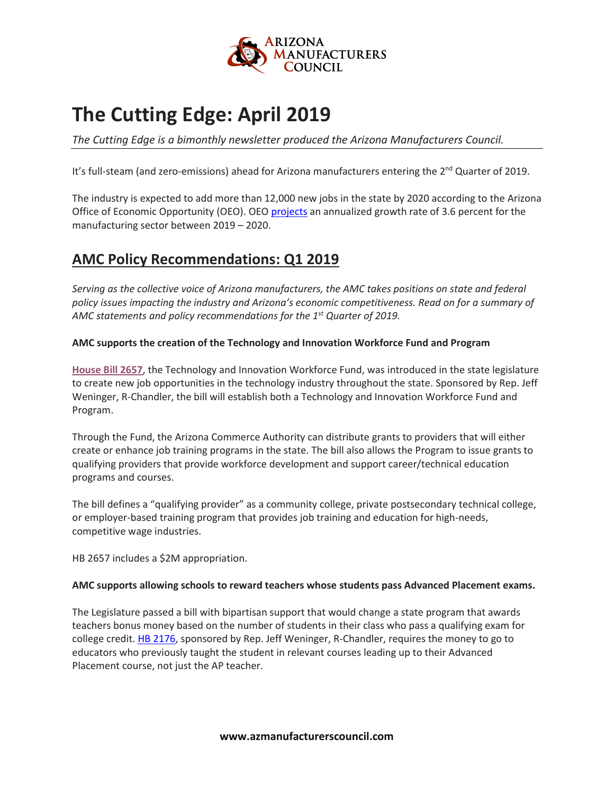

# **The Cutting Edge: April 2019**

*The Cutting Edge is a bimonthly newsletter produced the Arizona Manufacturers Council.*

It's full-steam (and zero-emissions) ahead for Arizona manufacturers entering the 2<sup>nd</sup> Quarter of 2019.

The industry is expected to add more than 12,000 new jobs in the state by 2020 according to the Arizona Office of Economic Opportunity (OEO). OEO [projects](https://laborstats.az.gov/sites/default/files/documents/files/emp-proj-report.pdf) an annualized growth rate of 3.6 percent for the manufacturing sector between 2019 – 2020.

# **AMC Policy Recommendations: Q1 2019**

*Serving as the collective voice of Arizona manufacturers, the AMC takes positions on state and federal policy issues impacting the industry and Arizona's economic competitiveness. Read on for a summary of AMC statements and policy recommendations for the 1st Quarter of 2019.*

#### **AMC supports the creation of the Technology and Innovation Workforce Fund and Program**

**[House Bill 2657](https://www.azleg.gov/legtext/54leg/1R/summary/H.HB2657_02-21-19_CAUCUSCOW.pdf)**, the Technology and Innovation Workforce Fund, was introduced in the state legislature to create new job opportunities in the technology industry throughout the state. Sponsored by Rep. Jeff Weninger, R-Chandler, the bill will establish both a Technology and Innovation Workforce Fund and Program.

Through the Fund, the Arizona Commerce Authority can distribute grants to providers that will either create or enhance job training programs in the state. The bill also allows the Program to issue grants to qualifying providers that provide workforce development and support career/technical education programs and courses.

The bill defines a "qualifying provider" as a community college, private postsecondary technical college, or employer-based training program that provides job training and education for high-needs, competitive wage industries.

HB 2657 includes a \$2M appropriation.

#### **AMC supports allowing schools to reward teachers whose students pass Advanced Placement exams.**

The Legislature passed a bill with bipartisan support that would change a state program that awards teachers bonus money based on the number of students in their class who pass a qualifying exam for college credit. [HB 2176,](https://www.azleg.gov/legtext/54leg/1R/bills/hb2176p.pdf) sponsored by Rep. Jeff Weninger, R-Chandler, requires the money to go to educators who previously taught the student in relevant courses leading up to their Advanced Placement course, not just the AP teacher.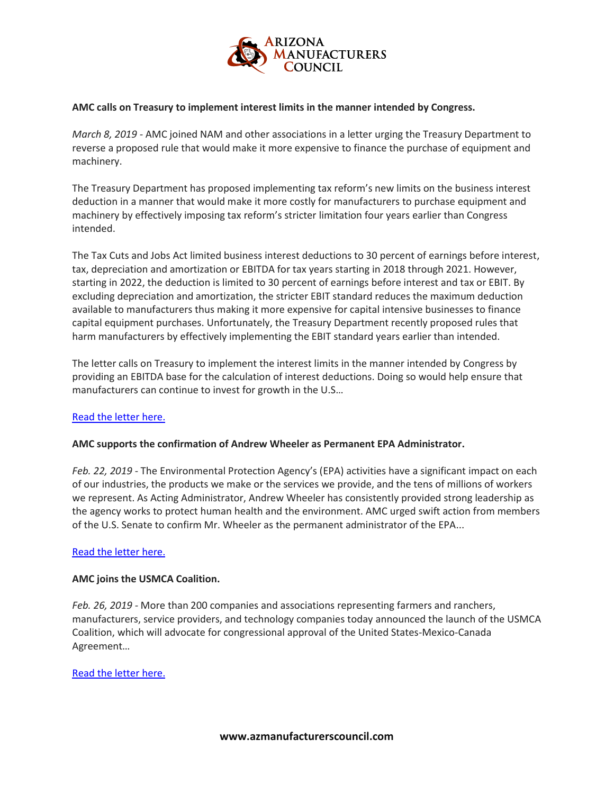

#### **AMC calls on Treasury to implement interest limits in the manner intended by Congress.**

*March 8, 2019 -* AMC joined NAM and other associations in a letter urging the Treasury Department to reverse a proposed rule that would make it more expensive to finance the purchase of equipment and machinery.

The Treasury Department has proposed implementing tax reform's new limits on the business interest deduction in a manner that would make it more costly for manufacturers to purchase equipment and machinery by effectively imposing tax reform's stricter limitation four years earlier than Congress intended.

The Tax Cuts and Jobs Act limited business interest deductions to 30 percent of earnings before interest, tax, depreciation and amortization or EBITDA for tax years starting in 2018 through 2021. However, starting in 2022, the deduction is limited to 30 percent of earnings before interest and tax or EBIT. By excluding depreciation and amortization, the stricter EBIT standard reduces the maximum deduction available to manufacturers thus making it more expensive for capital intensive businesses to finance capital equipment purchases. Unfortunately, the Treasury Department recently proposed rules that harm manufacturers by effectively implementing the EBIT standard years earlier than intended.

The letter calls on Treasury to implement the interest limits in the manner intended by Congress by providing an EBITDA base for the calculation of interest deductions. Doing so would help ensure that manufacturers can continue to invest for growth in the U.S…

#### [Read the letter here.](https://namissvr.nam.org/minisites/securesignup/letter.aspx?ID=166&_zs=T6JVg1&_zl=S99b5)

#### **AMC supports the confirmation of Andrew Wheeler as Permanent EPA Administrator.**

*Feb. 22, 2019* - The Environmental Protection Agency's (EPA) activities have a significant impact on each of our industries, the products we make or the services we provide, and the tens of millions of workers we represent. As Acting Administrator, Andrew Wheeler has consistently provided strong leadership as the agency works to protect human health and the environment. AMC urged swift action from members of the U.S. Senate to confirm Mr. Wheeler as the permanent administrator of the EPA...

#### [Read the letter here.](https://namissvr.nam.org/minisites/securesignup/letter.aspx?ID=165&_zs=T6JVg1&_zl=u5VW5)

#### **AMC joins the USMCA Coalition.**

*Feb. 26, 2019 -* More than 200 companies and associations representing farmers and ranchers, manufacturers, service providers, and technology companies today announced the launch of the USMCA Coalition, which will advocate for congressional approval of the United States-Mexico-Canada Agreement…

#### [Read the letter here.](https://www.uschamber.com/press-release/leading-trade-associations-and-businesses-launch-usmca-coalition)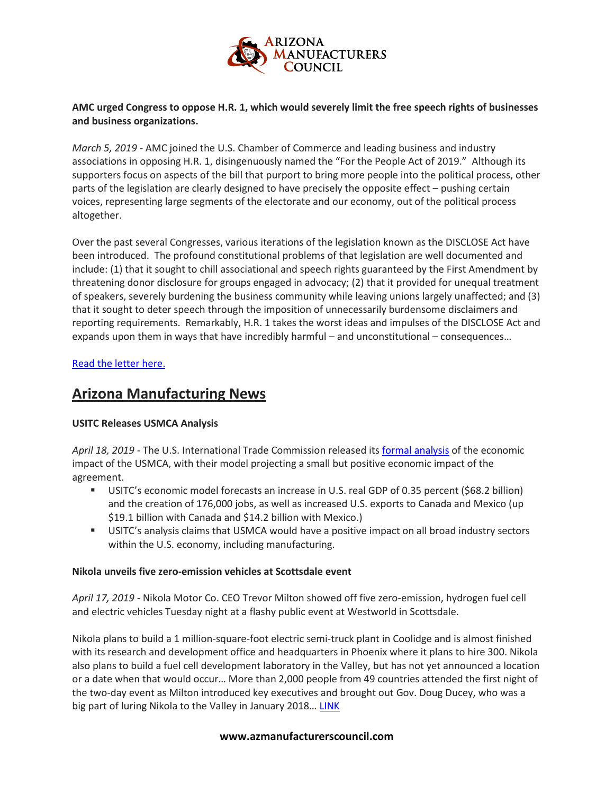

#### **AMC urged Congress to oppose H.R. 1, which would severely limit the free speech rights of businesses and business organizations.**

*March 5, 2019 -* AMC joined the U.S. Chamber of Commerce and leading business and industry associations in opposing H.R. 1, disingenuously named the "For the People Act of 2019." Although its supporters focus on aspects of the bill that purport to bring more people into the political process, other parts of the legislation are clearly designed to have precisely the opposite effect – pushing certain voices, representing large segments of the electorate and our economy, out of the political process altogether.

Over the past several Congresses, various iterations of the legislation known as the DISCLOSE Act have been introduced. The profound constitutional problems of that legislation are well documented and include: (1) that it sought to chill associational and speech rights guaranteed by the First Amendment by threatening donor disclosure for groups engaged in advocacy; (2) that it provided for unequal treatment of speakers, severely burdening the business community while leaving unions largely unaffected; and (3) that it sought to deter speech through the imposition of unnecessarily burdensome disclaimers and reporting requirements. Remarkably, H.R. 1 takes the worst ideas and impulses of the DISCLOSE Act and expands upon them in ways that have incredibly harmful – and unconstitutional – consequences…

#### [Read the letter here.](https://docs.google.com/forms/d/e/1FAIpQLSfOS0_GvFYdXH6lriy2SOwJAHz39fiy-kGBLd5fPDIv20w3-A/viewform)

### **Arizona Manufacturing News**

#### **USITC Releases USMCA Analysis**

*April 18, 2019 -* The U.S. International Trade Commission released its [formal analysis](https://www.usitc.gov/publications/332/pub4889.pdf) of the economic impact of the USMCA, with their model projecting a small but positive economic impact of the agreement.

- **EXECTS:** USITC's economic model forecasts an increase in U.S. real GDP of 0.35 percent (\$68.2 billion) and the creation of 176,000 jobs, as well as increased U.S. exports to Canada and Mexico (up \$19.1 billion with Canada and \$14.2 billion with Mexico.)
- **■** USITC's analysis claims that USMCA would have a positive impact on all broad industry sectors within the U.S. economy, including manufacturing.

#### **Nikola unveils five zero-emission vehicles at Scottsdale event**

*April 17, 2019 -* Nikola Motor Co. CEO Trevor Milton showed off five zero-emission, hydrogen fuel cell and electric vehicles Tuesday night at a flashy public event at Westworld in Scottsdale.

Nikola plans to build a 1 million-square-foot electric semi-truck plant in Coolidge and is almost finished with its research and development office and headquarters in Phoenix where it plans to hire 300. Nikola also plans to build a fuel cell development laboratory in the Valley, but has not yet announced a location or a date when that would occur… More than 2,000 people from 49 countries attended the first night of the two-day event as Milton introduced key executives and brought out Gov. Doug Ducey, who was a big part of luring Nikola to the Valley in January 2018... [LINK](https://www.bizjournals.com/phoenix/news/2019/04/17/nikola-unveils-five-zero-emission-vehicles-at.html?iana=hpmvp_phx_news_headline)

#### **www.azmanufacturerscouncil.com**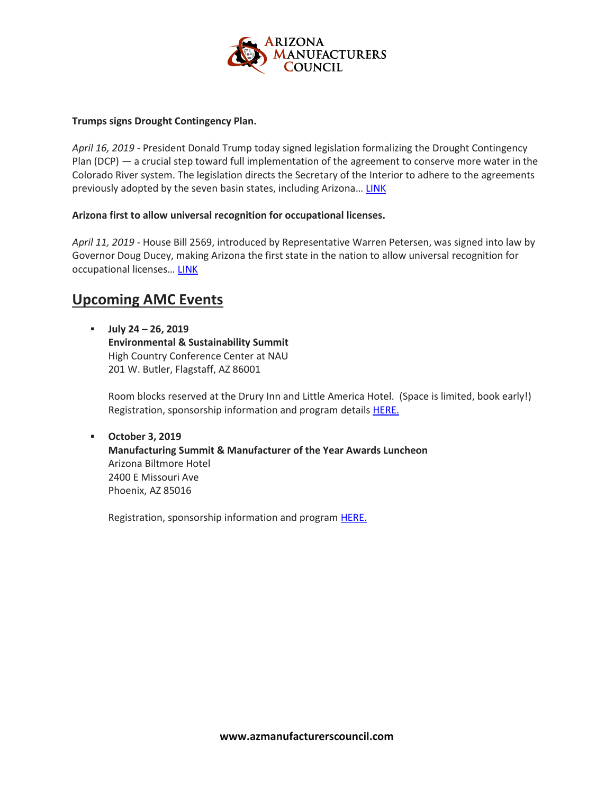

#### **Trumps signs Drought Contingency Plan.**

*April 16, 2019 -* President Donald Trump today signed legislation formalizing the Drought Contingency Plan (DCP) — a crucial step toward full implementation of the agreement to conserve more water in the Colorado River system. The legislation directs the Secretary of the Interior to adhere to the agreements previously adopted by the seven basin states, including Arizona… [LINK](https://azgovernor.gov/governor/news/2019/04/president-signs-drought-contingency-plan-legislation)

#### **Arizona first to allow universal recognition for occupational licenses.**

*April 11, 2019 -* House Bill 2569, introduced by Representative Warren Petersen, was signed into law by Governor Doug Ducey, making Arizona the first state in the nation to allow universal recognition for occupational licenses... [LINK](https://azgovernor.gov/governor/news/2019/04/word-street-national-acclaim-arizonas-universal-licensing-recognition)

### **Upcoming AMC Events**

▪ **July 24 – 26, 2019 Environmental & Sustainability Summit** High Country Conference Center at NAU 201 W. Butler, Flagstaff, AZ 86001

Room blocks reserved at the Drury Inn and Little America Hotel. (Space is limited, book early!) Registration, sponsorship information and program details **[HERE.](http://azchamber.chambermaster.com/events/details/environmental-and-sustainability-summit-2019-235561)** 

▪ **October 3, 2019 Manufacturing Summit & Manufacturer of the Year Awards Luncheon** Arizona Biltmore Hotel 2400 E Missouri Ave Phoenix, AZ 85016

Registration, sponsorship information and program **[HERE.](http://azchamber.chambermaster.com/events/details/manufacturing-summit-and-awards-luncheon-2019-235564)**